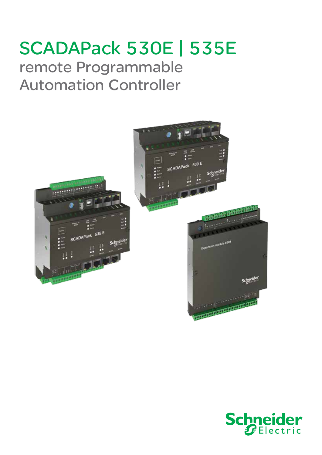# SCADAPack 530E | 535E remote Programmable Automation Controller



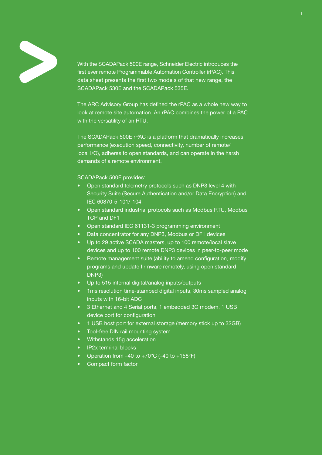With the SCADAPack 500E range, Schneider Electric introduces the first ever remote Programmable Automation Controller (rPAC). This data sheet presents the first two models of that new range, the SCADAPack 530E and the SCADAPack 535E.

The ARC Advisory Group has defined the rPAC as a whole new way to look at remote site automation. An rPAC combines the power of a PAC with the versatility of an RTU.

The SCADAPack 500E rPAC is a platform that dramatically increases performance (execution speed, connectivity, number of remote/ local I/O), adheres to open standards, and can operate in the harsh demands of a remote environment.

#### SCADAPack 500E provides:

- Open standard telemetry protocols such as DNP3 level 4 with Security Suite (Secure Authentication and/or Data Encryption) and IEC 60870-5-101/-104
- Open standard industrial protocols such as Modbus RTU, Modbus TCP and DF1
- Open standard IEC 61131-3 programming environment
- Data concentrator for any DNP3, Modbus or DF1 devices
- Up to 29 active SCADA masters, up to 100 remote/local slave devices and up to 100 remote DNP3 devices in peer-to-peer mode
- Remote management suite (ability to amend configuration, modify programs and update firmware remotely, using open standard DNP3)
- Up to 515 internal digital/analog inputs/outputs
- 1ms resolution time-stamped digital inputs, 30ms sampled analog inputs with 16-bit ADC
- 3 Ethernet and 4 Serial ports, 1 embedded 3G modem, 1 USB device port for configuration
- 1 USB host port for external storage (memory stick up to 32GB)
- Tool-free DIN rail mounting system
- Withstands 15g acceleration
- IP2x terminal blocks
- Operation from  $-40$  to  $+70^{\circ}$ C ( $-40$  to  $+158^{\circ}$ F)
- Compact form factor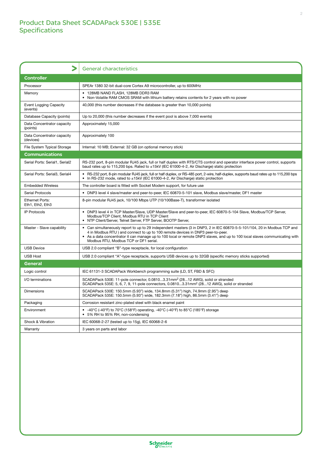# Product Data Sheet SCADAPack 530E | 535E **Specifications**

|                                           | <b>General characteristics</b>                                                                                                                                                                                                                                                                                                                                                      |  |  |  |
|-------------------------------------------|-------------------------------------------------------------------------------------------------------------------------------------------------------------------------------------------------------------------------------------------------------------------------------------------------------------------------------------------------------------------------------------|--|--|--|
| <b>Controller</b>                         |                                                                                                                                                                                                                                                                                                                                                                                     |  |  |  |
| Processor                                 | SPEAr 1380 32-bit dual-core Cortex A9 microcontroller, up to 600MHz                                                                                                                                                                                                                                                                                                                 |  |  |  |
| Memory                                    | • 128MB NAND FLASH, 128MB DDR3 RAM<br>• Non-Volatile RAM CMOS SRAM with lithium battery retains contents for 2 years with no power                                                                                                                                                                                                                                                  |  |  |  |
| <b>Event Logging Capacity</b><br>(events) | 40,000 (this number decreases if the database is greater than 10,000 points)                                                                                                                                                                                                                                                                                                        |  |  |  |
| Database Capacity (points)                | Up to 20,000 (this number decreases if the event pool is above 7,000 events)                                                                                                                                                                                                                                                                                                        |  |  |  |
| Data Concentrator capacity<br>(points)    | Approximately 15,000                                                                                                                                                                                                                                                                                                                                                                |  |  |  |
| Data Concentrator capacity<br>(devices)   | Approximately 100                                                                                                                                                                                                                                                                                                                                                                   |  |  |  |
| File System Typical Storage               | Internal: 10 MB; External: 32 GB (on optional memory stick)                                                                                                                                                                                                                                                                                                                         |  |  |  |
| <b>Communications</b>                     |                                                                                                                                                                                                                                                                                                                                                                                     |  |  |  |
| Serial Ports: Serial1, Serial2            | RS-232 port, 8-pin modular RJ45 jack, full or half duplex with RTS/CTS control and operator interface power control, supports<br>baud rates up to 115,200 bps. Rated to ±15kV (IEC 61000-4-2, Air Discharge) static protection                                                                                                                                                      |  |  |  |
| Serial Ports: Serial3, Serial4            | • RS-232 port, 8-pin modular RJ45 jack, full or half duplex, or RS-485 port, 2-wire, half-duplex, supports baud rates up to 115,200 bps<br>• In RS-232 mode, rated to $\pm 15kV$ (IEC 61000-4-2, Air Discharge) static protection                                                                                                                                                   |  |  |  |
| <b>Embedded Wireless</b>                  | The controller board is fitted with Socket Modem support, for future use                                                                                                                                                                                                                                                                                                            |  |  |  |
| Serial Protocols                          | • DNP3 level 4 slave/master and peer-to-peer, IEC 60870-5-101 slave, Modbus slave/master, DF1 master                                                                                                                                                                                                                                                                                |  |  |  |
| Ethernet Ports:<br>Eth1, Eth2, Eth3       | 8-pin modular RJ45 jack, 10/100 Mbps UTP (10/100Base-T), transformer isolated                                                                                                                                                                                                                                                                                                       |  |  |  |
| <b>IP Protocols</b>                       | DNP3 level 4 in TCP Master/Slave, UDP Master/Slave and peer-to-peer, IEC 60870-5-104 Slave, Modbus/TCP Server,<br>$\bullet$<br>Modbus/TCP Client, Modbus RTU in TCP Client<br>• NTP Client/Server, Telnet Server, FTP Server, BOOTP Server,                                                                                                                                         |  |  |  |
| Master - Slave capability                 | • Can simultaneously report to up to 29 independent masters (3 in DNP3, 2 in IEC 60870-5-5-101/104, 20 in Modbus TCP and<br>4 in Modbus RTU ) and connect to up to 100 remote devices in DNP3 peer-to-peer.<br>• As a data concentrator it can manage up to 100 local or remote DNP3 slaves, and up to 100 local slaves communicating with<br>Modbus RTU, Modbus TCP or DF1 serial. |  |  |  |
| <b>USB Device</b>                         | USB 2.0 compliant "B"-type receptacle, for local configuration                                                                                                                                                                                                                                                                                                                      |  |  |  |
| <b>USB Host</b>                           | USB 2.0 compliant "A"-type receptacle, supports USB devices up to 32GB (specific memory sticks supported)                                                                                                                                                                                                                                                                           |  |  |  |
| <b>General</b>                            |                                                                                                                                                                                                                                                                                                                                                                                     |  |  |  |
| Logic control                             | IEC 61131-3 SCADAPack Workbench programming suite (LD, ST, FBD & SFC)                                                                                                                                                                                                                                                                                                               |  |  |  |
| I/O terminations                          | SCADAPack 530E: 11-pole connector, 0.08103.31mm <sup>2</sup> (2812 AWG), solid or stranded<br>SCADAPack 535E: 5, 6, 7, 9, 11-pole connectors, 0.08103.31mm <sup>2</sup> (2812 AWG), solid or stranded                                                                                                                                                                               |  |  |  |
| <b>Dimensions</b>                         | SCADAPack 530E: 150.5mm (5.93") wide, 134.8mm (5.31") high, 74.9mm (2.95") deep<br>SCADAPack 535E: 150.5mm (5.93") wide, 182.3mm (7.18") high, 86.5mm (3.41") deep                                                                                                                                                                                                                  |  |  |  |
| Packaging                                 | Corrosion resistant zinc-plated steel with black enamel paint                                                                                                                                                                                                                                                                                                                       |  |  |  |
| Environment                               | • -40°C (-40°F) to 70°C (158°F) operating, -40°C (-40°F) to 85°C (185°F) storage<br>• 5% RH to 95% RH, non-condensing                                                                                                                                                                                                                                                               |  |  |  |
| Shock & Vibration                         | IEC 60068-2-27 (tested up to 15g), IEC 60068-2-6                                                                                                                                                                                                                                                                                                                                    |  |  |  |
| Warranty                                  | 3 years on parts and labor                                                                                                                                                                                                                                                                                                                                                          |  |  |  |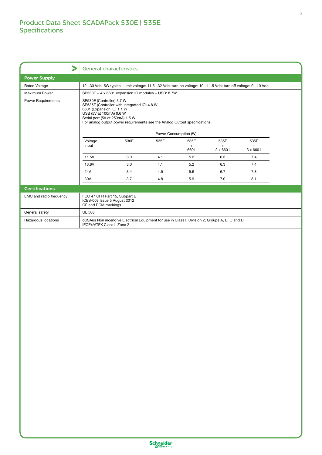# Product Data Sheet SCADAPack 530E | 535E **Specifications**

|                         | $\blacktriangleright$                                                                                                                                                                                                                                                       | <b>General characteristics</b>                                                                                               |      |             |                        |                        |
|-------------------------|-----------------------------------------------------------------------------------------------------------------------------------------------------------------------------------------------------------------------------------------------------------------------------|------------------------------------------------------------------------------------------------------------------------------|------|-------------|------------------------|------------------------|
| <b>Power Supply</b>     |                                                                                                                                                                                                                                                                             |                                                                                                                              |      |             |                        |                        |
| <b>Rated Voltage</b>    |                                                                                                                                                                                                                                                                             | 1230 Vdc, 5W typical. Limit voltage: 11.532 Vdc; turn on voltage: 1011.5 Vdc; turn off voltage: 910 Vdc                      |      |             |                        |                        |
| Maximum Power           | SP530E + 4 x 6601 expansion IO modules + USB: 8.7W                                                                                                                                                                                                                          |                                                                                                                              |      |             |                        |                        |
| Power Requirements      | SP530E (Controller) 3.7 W<br>SP535E (Controller with integrated IO) 4.8 W<br>6601 (Expansion IO) 1.1 W<br>USB (5V at 100mA) 0.6 W<br>Serial port (5V at 250mA) 1.5 W<br>For analog output power requirements see the Analog Output specifications.<br>Power Consumption (W) |                                                                                                                              |      |             |                        |                        |
|                         | Voltage                                                                                                                                                                                                                                                                     | 530E                                                                                                                         | 535E | 535E        | 535E                   | 535E                   |
|                         | input                                                                                                                                                                                                                                                                       |                                                                                                                              |      | $+$<br>6601 | $+$<br>$2 \times 6601$ | $+$<br>$3 \times 6601$ |
|                         | 11.5V                                                                                                                                                                                                                                                                       | 3.0                                                                                                                          | 4.1  | 5.2         | 6.3                    | 7.4                    |
|                         | 13.8V                                                                                                                                                                                                                                                                       | 3.0                                                                                                                          | 4.1  | 5.2         | 6.3                    | 7.4                    |
|                         | <b>24V</b>                                                                                                                                                                                                                                                                  | 3.4                                                                                                                          | 4.5  | 5.6         | 6.7                    | $7.8$                  |
|                         | 30V                                                                                                                                                                                                                                                                         | 3.7                                                                                                                          | 4.8  | 5.9         | 7.0                    | 8.1                    |
| <b>Certifications</b>   |                                                                                                                                                                                                                                                                             |                                                                                                                              |      |             |                        |                        |
| EMC and radio frequency | FCC 47 CFR Part 15, Subpart B<br>ICES-003 Issue 5 August 2012<br>CE and RCM markings                                                                                                                                                                                        |                                                                                                                              |      |             |                        |                        |
| General safety          | <b>UL 508</b>                                                                                                                                                                                                                                                               |                                                                                                                              |      |             |                        |                        |
| Hazardous locations     |                                                                                                                                                                                                                                                                             | cCSAus Non incendive Electrical Equipment for use in Class I, Division 2, Groups A, B, C and D<br>IECEx/ATEX Class I, Zone 2 |      |             |                        |                        |
|                         |                                                                                                                                                                                                                                                                             |                                                                                                                              |      |             |                        |                        |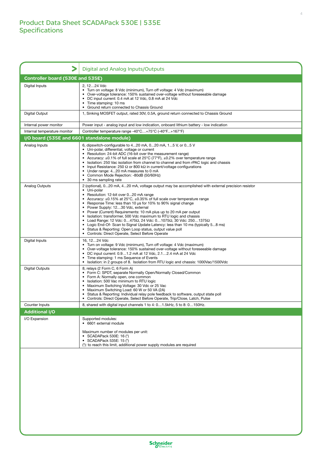|                                             | <b>Digital and Analog Inputs/Outputs</b>                                                                                                                                                                                                                                                                                                                                                                                                                                                                                                                                                                                                                                                                                                                           |  |  |  |  |
|---------------------------------------------|--------------------------------------------------------------------------------------------------------------------------------------------------------------------------------------------------------------------------------------------------------------------------------------------------------------------------------------------------------------------------------------------------------------------------------------------------------------------------------------------------------------------------------------------------------------------------------------------------------------------------------------------------------------------------------------------------------------------------------------------------------------------|--|--|--|--|
| Controller board (530E and 535E)            |                                                                                                                                                                                                                                                                                                                                                                                                                                                                                                                                                                                                                                                                                                                                                                    |  |  |  |  |
| Digital Inputs                              | 2, 12…24 Vdc<br>• Turn on voltage: 8 Vdc (minimum), Turn off voltage: 4 Vdc (maximum)<br>Over-voltage tolerance: 150% sustained over-voltage without foreseeable damage<br>DC input current: 0.4 mA at 12 Vdc, 0.8 mA at 24 Vdc<br>• Time stamping: 10 ms<br>Ground return connected to Chassis Ground                                                                                                                                                                                                                                                                                                                                                                                                                                                             |  |  |  |  |
| Digital Output                              | 1, Sinking MOSFET output, rated 30V, 0.5A, ground return connected to Chassis Ground                                                                                                                                                                                                                                                                                                                                                                                                                                                                                                                                                                                                                                                                               |  |  |  |  |
| Internal power monitor                      | Power input - analog input and low indication, onboard lithium battery - low indication                                                                                                                                                                                                                                                                                                                                                                                                                                                                                                                                                                                                                                                                            |  |  |  |  |
| Internal temperature monitor                | Controller temperature range -40°C+75°C (-40°F+167°F)                                                                                                                                                                                                                                                                                                                                                                                                                                                                                                                                                                                                                                                                                                              |  |  |  |  |
| I/O board (535E and 6601 standalone module) |                                                                                                                                                                                                                                                                                                                                                                                                                                                                                                                                                                                                                                                                                                                                                                    |  |  |  |  |
| Analog Inputs                               | 6, dipswitch-configurable to 420 mA, 020 mA, 15 V, or 05 V<br>Uni-polar, differential, voltage or current<br>Resolution: 24-bit ADC (16-bit over the measurement range)<br>• Accuracy: $\pm$ 0.1% of full scale at 25°C (77°F), $\pm$ 0.2% over temperature range<br>Isolation: 250 Vac isolation from channel to channel and from rPAC logic and chassis<br>Input Resistance: 250 $\Omega$ or 800 k $\Omega$ in current/voltage configurations<br>Under range: 420 mA measures to 0 mA<br>Common Mode Rejection: -80dB (50/60Hz)<br>30 ms sampling rate                                                                                                                                                                                                           |  |  |  |  |
| Analog Outputs                              | 2 (optional), 020 mA, 420 mA, voltage output may be accomplished with external precision resistor<br>• Uni-polar<br>Resolution: 12-bit over 020 mA range<br>Accuracy: ±0.15% at 25°C, ±0.35% of full scale over temperature range<br>Response Time: less than 10 us for 10% to 90% signal change<br>Power Supply: 1230 Vdc, external<br>Power (Current) Requirements: 10 mA plus up to 20 mA per output<br>Isolation: transformer, 500 Vdc maximum to RTU logic and chassis<br>Load Range: 12 Vdc: $0475\Omega$ , 24 Vdc: $01075\Omega$ , 30 Vdc: 2501375 $\Omega$<br>Logic End-Of- Scan to Signal Update Latency: less than 10 ms (typically 58 ms)<br>Status & Reporting: Open Loop status, output value poll<br>Controls: Direct Operate, Select Before Operate |  |  |  |  |
| Digital Inputs                              | 16, 1224 Vdc<br>• Turn on voltage: 9 Vdc (minimum), Turn off voltage: 4 Vdc (maximum)<br>Over-voltage tolerance: 150% sustained over-voltage without foreseeable damage<br>DC input current: 0.91.2 mA at 12 Vdc, 2.12.4 mA at 24 Vdc<br>• Time stamping: 1 ms Sequence of Events<br>Isolation: in 2 groups of 8. Isolation from RTU logic and chassis: 1000Vac/1500Vdc                                                                                                                                                                                                                                                                                                                                                                                            |  |  |  |  |
| <b>Digital Outputs</b>                      | 8, relays (2 Form C, 6 Form A)<br>Form C: SPDT, separate Normally Open/Normally Closed/Common<br>Form A: Normally open, one common<br>Isolation: 500 Vac minimum to RTU logic<br>Maximum Switching Voltage: 30 Vdc or 25 Vac<br>Maximum Switching Load: 60 W or 50 VA (2A)<br>Status & Reporting: Individual relay pole feedback to software, output state poll<br>Controls: Direct Operate, Select Before Operate, Trip/Close, Latch, Pulse                                                                                                                                                                                                                                                                                                                       |  |  |  |  |
| Counter Inputs                              | 8, shared with digital input channels 1 to 4: 01.5kHz, 5 to 8: 0150Hz.                                                                                                                                                                                                                                                                                                                                                                                                                                                                                                                                                                                                                                                                                             |  |  |  |  |
| <b>Additional I/O</b>                       |                                                                                                                                                                                                                                                                                                                                                                                                                                                                                                                                                                                                                                                                                                                                                                    |  |  |  |  |
| I/O Expansion                               | Supported modules:<br>• 6601 external module                                                                                                                                                                                                                                                                                                                                                                                                                                                                                                                                                                                                                                                                                                                       |  |  |  |  |
|                                             | Maximum number of modules per unit:<br>SCADAPack 530E: 16 (*)<br>٠<br>SCADAPack 535E: 15 (*)<br>(*): to reach this limit, additional power supply modules are required                                                                                                                                                                                                                                                                                                                                                                                                                                                                                                                                                                                             |  |  |  |  |